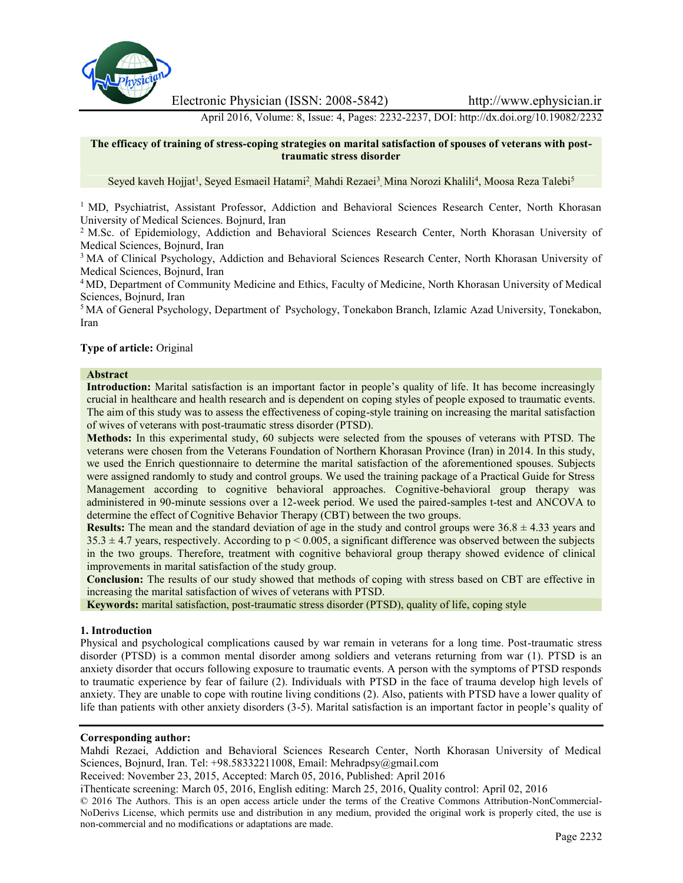

Electronic Physician (ISSN: 2008-5842) http://www.ephysician.ir

April 2016, Volume: 8, Issue: 4, Pages: 2232-2237, DOI: http://dx.doi.org/10.19082/2232

# **The efficacy of training of stress-coping strategies on marital satisfaction of spouses of veterans with posttraumatic stress disorder**

Seyed kaveh Hojjat<sup>1</sup>, Seyed Esmaeil Hatami<sup>2</sup>, Mahdi Rezaei<sup>3</sup>, Mina Norozi Khalili<sup>4</sup>, Moosa Reza Talebi<sup>5</sup>

<sup>1</sup> MD, Psychiatrist, Assistant Professor, Addiction and Behavioral Sciences Research Center, North Khorasan University of Medical Sciences. Bojnurd, Iran

<sup>2</sup> M.Sc. of Epidemiology, Addiction and Behavioral Sciences Research Center, North Khorasan University of Medical Sciences, Bojnurd, Iran

<sup>3</sup> MA of Clinical Psychology, Addiction and Behavioral Sciences Research Center, North Khorasan University of Medical Sciences, Bojnurd, Iran

<sup>4</sup> MD, Department of Community Medicine and Ethics, Faculty of Medicine, North Khorasan University of Medical Sciences, Bojnurd, Iran

<sup>5</sup> MA of General Psychology, Department of Psychology, Tonekabon Branch, Izlamic Azad University, Tonekabon, Iran

#### **Type of article:** Original

#### **Abstract**

**Introduction:** Marital satisfaction is an important factor in people's quality of life. It has become increasingly crucial in healthcare and health research and is dependent on coping styles of people exposed to traumatic events. The aim of this study was to assess the effectiveness of coping-style training on increasing the marital satisfaction of wives of veterans with post-traumatic stress disorder (PTSD).

**Methods:** In this experimental study, 60 subjects were selected from the spouses of veterans with PTSD. The veterans were chosen from the Veterans Foundation of Northern Khorasan Province (Iran) in 2014. In this study, we used the Enrich questionnaire to determine the marital satisfaction of the aforementioned spouses. Subjects were assigned randomly to study and control groups. We used the training package of a Practical Guide for Stress Management according to cognitive behavioral approaches. Cognitive-behavioral group therapy was administered in 90-minute sessions over a 12-week period. We used the paired-samples t-test and ANCOVA to determine the effect of Cognitive Behavior Therapy (CBT) between the two groups.

**Results:** The mean and the standard deviation of age in the study and control groups were  $36.8 \pm 4.33$  years and  $35.3 \pm 4.7$  years, respectively. According to  $p < 0.005$ , a significant difference was observed between the subjects in the two groups. Therefore, treatment with cognitive behavioral group therapy showed evidence of clinical improvements in marital satisfaction of the study group.

**Conclusion:** The results of our study showed that methods of coping with stress based on CBT are effective in increasing the marital satisfaction of wives of veterans with PTSD.

**Keywords:** marital satisfaction, post-traumatic stress disorder (PTSD), quality of life, coping style

#### **1. Introduction**

Physical and psychological complications caused by war remain in veterans for a long time. Post-traumatic stress disorder (PTSD) is a common mental disorder among soldiers and veterans returning from war (1). PTSD is an anxiety disorder that occurs following exposure to traumatic events. A person with the symptoms of PTSD responds to traumatic experience by fear of failure (2). Individuals with PTSD in the face of trauma develop high levels of anxiety. They are unable to cope with routine living conditions (2). Also, patients with PTSD have a lower quality of life than patients with other anxiety disorders (3-5). Marital satisfaction is an important factor in people's quality of

#### **Corresponding author:**

Mahdi Rezaei, Addiction and Behavioral Sciences Research Center, North Khorasan University of Medical Sciences, Bojnurd, Iran. Tel: +98.58332211008, Email: Mehradpsy@gmail.com

Received: November 23, 2015, Accepted: March 05, 2016, Published: April 2016

iThenticate screening: March 05, 2016, English editing: March 25, 2016, Quality control: April 02, 2016

© 2016 The Authors. This is an open access article under the terms of the Creative Commons Attribution-NonCommercial- NoDerivs License, which permits use and distribution in any medium, provided the original work is properly cited, the use is non-commercial and no modifications or adaptations are made.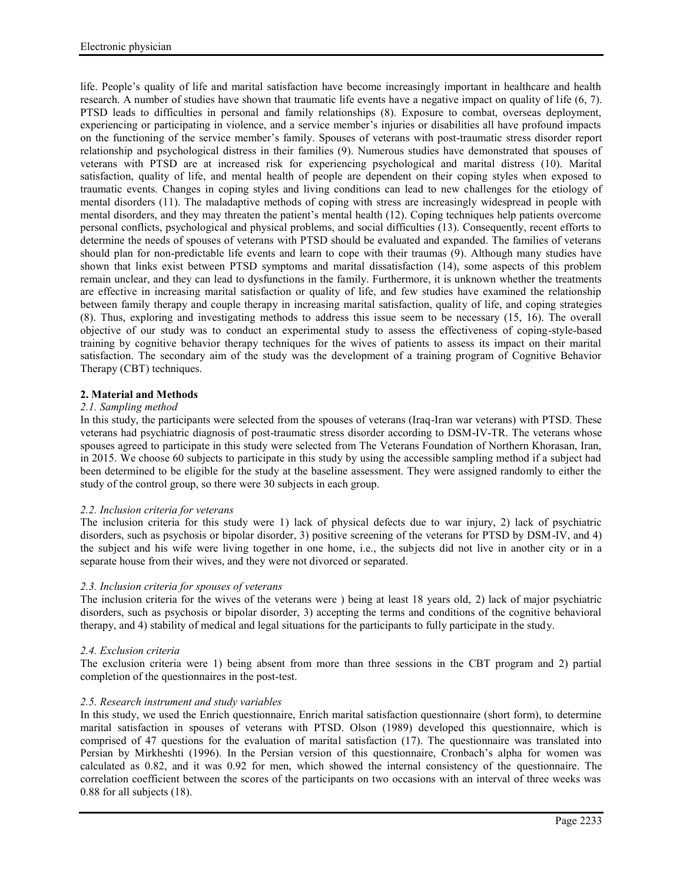life. People's quality of life and marital satisfaction have become increasingly important in healthcare and health research. A number of studies have shown that traumatic life events have a negative impact on quality of life (6, 7). PTSD leads to difficulties in personal and family relationships (8). Exposure to combat, overseas deployment, experiencing or participating in violence, and a service member's injuries or disabilities all have profound impacts on the functioning of the service member's family. Spouses of veterans with post-traumatic stress disorder report relationship and psychological distress in their families (9). Numerous studies have demonstrated that spouses of veterans with PTSD are at increased risk for experiencing psychological and marital distress (10). Marital satisfaction, quality of life, and mental health of people are dependent on their coping styles when exposed to traumatic events. Changes in coping styles and living conditions can lead to new challenges for the etiology of mental disorders (11). The maladaptive methods of coping with stress are increasingly widespread in people with mental disorders, and they may threaten the patient's mental health (12). Coping techniques help patients overcome personal conflicts, psychological and physical problems, and social difficulties (13). Consequently, recent efforts to determine the needs of spouses of veterans with PTSD should be evaluated and expanded. The families of veterans should plan for non-predictable life events and learn to cope with their traumas (9). Although many studies have shown that links exist between PTSD symptoms and marital dissatisfaction (14), some aspects of this problem remain unclear, and they can lead to dysfunctions in the family. Furthermore, it is unknown whether the treatments are effective in increasing marital satisfaction or quality of life, and few studies have examined the relationship between family therapy and couple therapy in increasing marital satisfaction, quality of life, and coping strategies (8). Thus, exploring and investigating methods to address this issue seem to be necessary (15, 16). The overall objective of our study was to conduct an experimental study to assess the effectiveness of coping-style-based training by cognitive behavior therapy techniques for the wives of patients to assess its impact on their marital satisfaction. The secondary aim of the study was the development of a training program of Cognitive Behavior Therapy (CBT) techniques.

# **2. Material and Methods**

# *2.1. Sampling method*

In this study, the participants were selected from the spouses of veterans (Iraq-Iran war veterans) with PTSD. These veterans had psychiatric diagnosis of post-traumatic stress disorder according to DSM-IV-TR. The veterans whose spouses agreed to participate in this study were selected from The Veterans Foundation of Northern Khorasan, Iran, in 2015. We choose 60 subjects to participate in this study by using the accessible sampling method if a subject had been determined to be eligible for the study at the baseline assessment. They were assigned randomly to either the study of the control group, so there were 30 subjects in each group.

# *2.2. Inclusion criteria for veterans*

The inclusion criteria for this study were 1) lack of physical defects due to war injury, 2) lack of psychiatric disorders, such as psychosis or bipolar disorder, 3) positive screening of the veterans for PTSD by DSM-IV, and 4) the subject and his wife were living together in one home, i.e., the subjects did not live in another city or in a separate house from their wives, and they were not divorced or separated.

# *2.3. Inclusion criteria for spouses of veterans*

The inclusion criteria for the wives of the veterans were ) being at least 18 years old, 2) lack of major psychiatric disorders, such as psychosis or bipolar disorder, 3) accepting the terms and conditions of the cognitive behavioral therapy, and 4) stability of medical and legal situations for the participants to fully participate in the study.

# *2.4. Exclusion criteria*

The exclusion criteria were 1) being absent from more than three sessions in the CBT program and 2) partial completion of the questionnaires in the post-test.

# *2.5. Research instrument and study variables*

In this study, we used the Enrich questionnaire, Enrich marital satisfaction questionnaire (short form), to determine marital satisfaction in spouses of veterans with PTSD. Olson (1989) developed this questionnaire, which is comprised of 47 questions for the evaluation of marital satisfaction (17). The questionnaire was translated into Persian by Mirkheshti (1996). In the Persian version of this questionnaire, Cronbach's alpha for women was calculated as 0.82, and it was 0.92 for men, which showed the internal consistency of the questionnaire. The correlation coefficient between the scores of the participants on two occasions with an interval of three weeks was 0.88 for all subjects (18).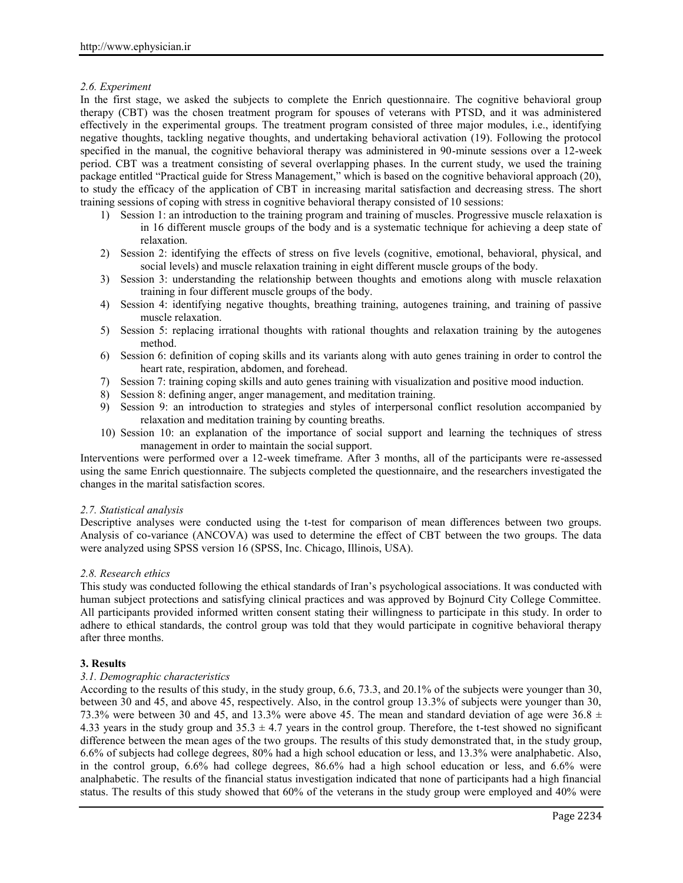# *2.6. Experiment*

In the first stage, we asked the subjects to complete the Enrich questionnaire. The cognitive behavioral group therapy (CBT) was the chosen treatment program for spouses of veterans with PTSD, and it was administered effectively in the experimental groups. The treatment program consisted of three major modules, i.e., identifying negative thoughts, tackling negative thoughts, and undertaking behavioral activation (19). Following the protocol specified in the manual, the cognitive behavioral therapy was administered in 90-minute sessions over a 12-week period. CBT was a treatment consisting of several overlapping phases. In the current study, we used the training package entitled "Practical guide for Stress Management," which is based on the cognitive behavioral approach (20), to study the efficacy of the application of CBT in increasing marital satisfaction and decreasing stress. The short training sessions of coping with stress in cognitive behavioral therapy consisted of 10 sessions:

- 1) Session 1: an introduction to the training program and training of muscles. Progressive muscle relaxation is in 16 different muscle groups of the body and is a systematic technique for achieving a deep state of relaxation.
- 2) Session 2: identifying the effects of stress on five levels (cognitive, emotional, behavioral, physical, and social levels) and muscle relaxation training in eight different muscle groups of the body.
- 3) Session 3: understanding the relationship between thoughts and emotions along with muscle relaxation training in four different muscle groups of the body.
- 4) Session 4: identifying negative thoughts, breathing training, autogenes training, and training of passive muscle relaxation.
- 5) Session 5: replacing irrational thoughts with rational thoughts and relaxation training by the autogenes method.
- 6) Session 6: definition of coping skills and its variants along with auto genes training in order to control the heart rate, respiration, abdomen, and forehead.
- 7) Session 7: training coping skills and auto genes training with visualization and positive mood induction.
- 8) Session 8: defining anger, anger management, and meditation training.
- 9) Session 9: an introduction to strategies and styles of interpersonal conflict resolution accompanied by relaxation and meditation training by counting breaths.
- 10) Session 10: an explanation of the importance of social support and learning the techniques of stress management in order to maintain the social support.

Interventions were performed over a 12-week timeframe. After 3 months, all of the participants were re-assessed using the same Enrich questionnaire. The subjects completed the questionnaire, and the researchers investigated the changes in the marital satisfaction scores.

# *2.7. Statistical analysis*

Descriptive analyses were conducted using the t-test for comparison of mean differences between two groups. Analysis of co-variance (ANCOVA) was used to determine the effect of CBT between the two groups. The data were analyzed using SPSS version 16 (SPSS, Inc. Chicago, Illinois, USA).

# *2.8. Research ethics*

This study was conducted following the ethical standards of Iran's psychological associations. It was conducted with human subject protections and satisfying clinical practices and was approved by Bojnurd City College Committee. All participants provided informed written consent stating their willingness to participate in this study. In order to adhere to ethical standards, the control group was told that they would participate in cognitive behavioral therapy after three months.

# **3. Results**

# *3.1. Demographic characteristics*

According to the results of this study, in the study group, 6.6, 73.3, and 20.1% of the subjects were younger than 30, between 30 and 45, and above 45, respectively. Also, in the control group 13.3% of subjects were younger than 30, 73.3% were between 30 and 45, and 13.3% were above 45. The mean and standard deviation of age were 36.8  $\pm$ 4.33 years in the study group and  $35.3 \pm 4.7$  years in the control group. Therefore, the t-test showed no significant difference between the mean ages of the two groups. The results of this study demonstrated that, in the study group, 6.6% of subjects had college degrees, 80% had a high school education or less, and 13.3% were analphabetic. Also, in the control group, 6.6% had college degrees, 86.6% had a high school education or less, and 6.6% were analphabetic. The results of the financial status investigation indicated that none of participants had a high financial status. The results of this study showed that 60% of the veterans in the study group were employed and 40% were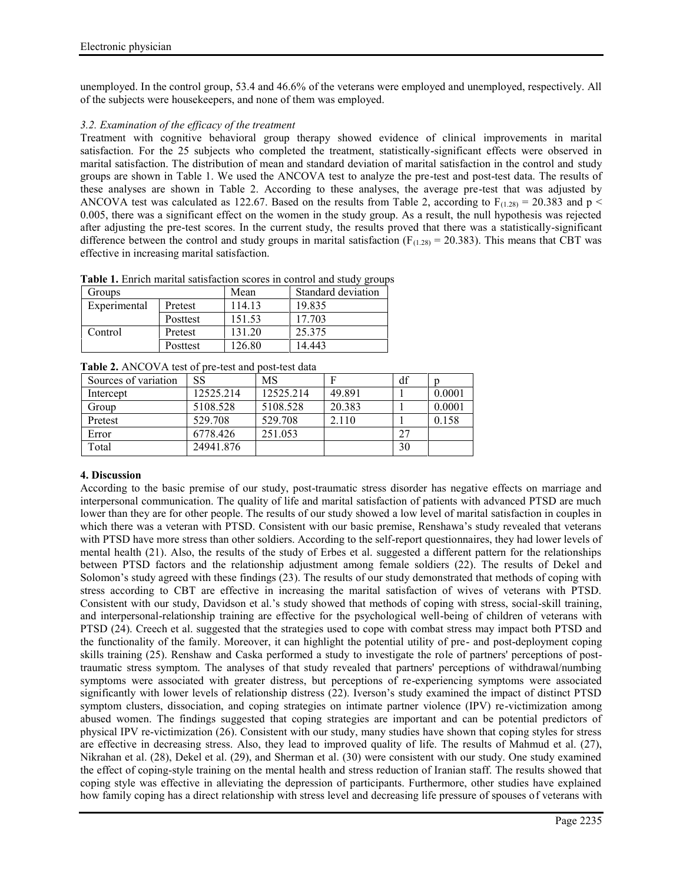unemployed. In the control group, 53.4 and 46.6% of the veterans were employed and unemployed, respectively. All of the subjects were housekeepers, and none of them was employed.

# *3.2. Examination of the efficacy of the treatment*

Treatment with cognitive behavioral group therapy showed evidence of clinical improvements in marital satisfaction. For the 25 subjects who completed the treatment, statistically-significant effects were observed in marital satisfaction. The distribution of mean and standard deviation of marital satisfaction in the control and study groups are shown in Table 1. We used the ANCOVA test to analyze the pre-test and post-test data. The results of these analyses are shown in Table 2. According to these analyses, the average pre-test that was adjusted by ANCOVA test was calculated as 122.67. Based on the results from Table 2, according to  $F_{(1.28)} = 20.383$  and p < 0.005, there was a significant effect on the women in the study group. As a result, the null hypothesis was rejected after adjusting the pre-test scores. In the current study, the results proved that there was a statistically-significant difference between the control and study groups in marital satisfaction ( $F_{(1,28)} = 20.383$ ). This means that CBT was effective in increasing marital satisfaction.

**Table 1.** Enrich marital satisfaction scores in control and study groups

| Groups       |          | Mean   | Standard deviation |  |
|--------------|----------|--------|--------------------|--|
| Experimental | Pretest  | 114.13 | 19.835             |  |
|              | Posttest | 151.53 | 17.703             |  |
| Control      | Pretest  | 131.20 | 25.375             |  |
|              | Posttest | 126.80 | 14.443             |  |

**Table 2.** ANCOVA test of pre-test and post-test data

| Sources of variation | <b>SS</b> | <b>MS</b> |        | df |        |
|----------------------|-----------|-----------|--------|----|--------|
| Intercept            | 12525.214 | 12525.214 | 49.891 |    | 0.0001 |
| Group                | 5108.528  | 5108.528  | 20.383 |    | 0.0001 |
| Pretest              | 529.708   | 529.708   | 2.110  |    | 0.158  |
| Error                | 6778.426  | 251.053   |        |    |        |
| Total                | 24941.876 |           |        | 30 |        |

# **4. Discussion**

According to the basic premise of our study, post-traumatic stress disorder has negative effects on marriage and interpersonal communication. The quality of life and marital satisfaction of patients with advanced PTSD are much lower than they are for other people. The results of our study showed a low level of marital satisfaction in couples in which there was a veteran with PTSD. Consistent with our basic premise, Renshawa's study revealed that veterans with PTSD have more stress than other soldiers. According to the self-report questionnaires, they had lower levels of mental health (21). Also, the results of the study of Erbes et al. suggested a different pattern for the relationships between PTSD factors and the relationship adjustment among female soldiers (22). The results of Dekel and Solomon's study agreed with these findings (23). The results of our study demonstrated that methods of coping with stress according to CBT are effective in increasing the marital satisfaction of wives of veterans with PTSD. Consistent with our study, Davidson et al.'s study showed that methods of coping with stress, social-skill training, and interpersonal-relationship training are effective for the psychological well-being of children of veterans with PTSD (24). Creech et al. suggested that the strategies used to cope with combat stress may impact both PTSD and the functionality of the family. Moreover, it can highlight the potential utility of pre- and post-deployment coping skills training (25). Renshaw and Caska performed a study to investigate the role of partners' perceptions of posttraumatic stress symptom. The analyses of that study revealed that partners' perceptions of withdrawal/numbing symptoms were associated with greater distress, but perceptions of re-experiencing symptoms were associated significantly with lower levels of relationship distress (22). Iverson's study examined the impact of distinct PTSD symptom clusters, dissociation, and coping strategies on intimate partner violence (IPV) re-victimization among abused women. The findings suggested that coping strategies are important and can be potential predictors of physical IPV re-victimization (26). Consistent with our study, many studies have shown that coping styles for stress are effective in decreasing stress. Also, they lead to improved quality of life. The results of Mahmud et al. (27), Nikrahan et al. (28), Dekel et al. (29), and Sherman et al. (30) were consistent with our study. One study examined the effect of coping-style training on the mental health and stress reduction of Iranian staff. The results showed that coping style was effective in alleviating the depression of participants. Furthermore, other studies have explained how family coping has a direct relationship with stress level and decreasing life pressure of spouses of veterans with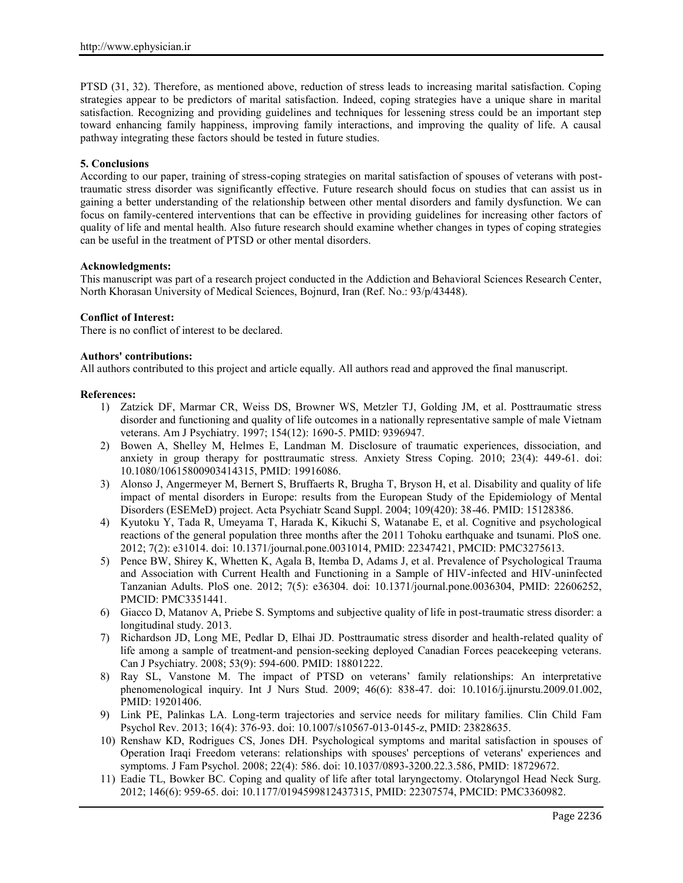PTSD (31, 32). Therefore, as mentioned above, reduction of stress leads to increasing marital satisfaction. Coping strategies appear to be predictors of marital satisfaction. Indeed, coping strategies have a unique share in marital satisfaction. Recognizing and providing guidelines and techniques for lessening stress could be an important step toward enhancing family happiness, improving family interactions, and improving the quality of life. A causal pathway integrating these factors should be tested in future studies.

# **5. Conclusions**

According to our paper, training of stress-coping strategies on marital satisfaction of spouses of veterans with posttraumatic stress disorder was significantly effective. Future research should focus on studies that can assist us in gaining a better understanding of the relationship between other mental disorders and family dysfunction. We can focus on family-centered interventions that can be effective in providing guidelines for increasing other factors of quality of life and mental health. Also future research should examine whether changes in types of coping strategies can be useful in the treatment of PTSD or other mental disorders.

#### **Acknowledgments:**

This manuscript was part of a research project conducted in the Addiction and Behavioral Sciences Research Center, North Khorasan University of Medical Sciences, Bojnurd, Iran (Ref. No.: 93/p/43448).

#### **Conflict of Interest:**

There is no conflict of interest to be declared.

#### **Authors' contributions:**

All authors contributed to this project and article equally. All authors read and approved the final manuscript.

#### **References:**

- 1) Zatzick DF, Marmar CR, Weiss DS, Browner WS, Metzler TJ, Golding JM, et al. Posttraumatic stress disorder and functioning and quality of life outcomes in a nationally representative sample of male Vietnam veterans. Am J Psychiatry. 1997; 154(12): 1690-5. PMID: 9396947.
- 2) Bowen A, Shelley M, Helmes E, Landman M. Disclosure of traumatic experiences, dissociation, and anxiety in group therapy for posttraumatic stress. Anxiety Stress Coping. 2010; 23(4): 449-61. doi: 10.1080/10615800903414315, PMID: 19916086.
- 3) Alonso J, Angermeyer M, Bernert S, Bruffaerts R, Brugha T, Bryson H, et al. Disability and quality of life impact of mental disorders in Europe: results from the European Study of the Epidemiology of Mental Disorders (ESEMeD) project. Acta Psychiatr Scand Suppl. 2004; 109(420): 38-46. PMID: 15128386.
- 4) Kyutoku Y, Tada R, Umeyama T, Harada K, Kikuchi S, Watanabe E, et al. Cognitive and psychological reactions of the general population three months after the 2011 Tohoku earthquake and tsunami. PloS one. 2012; 7(2): e31014. doi: 10.1371/journal.pone.0031014, PMID: 22347421, PMCID: PMC3275613.
- 5) Pence BW, Shirey K, Whetten K, Agala B, Itemba D, Adams J, et al. Prevalence of Psychological Trauma and Association with Current Health and Functioning in a Sample of HIV-infected and HIV-uninfected Tanzanian Adults. PloS one. 2012; 7(5): e36304. doi: 10.1371/journal.pone.0036304, PMID: 22606252, PMCID: PMC3351441.
- 6) Giacco D, Matanov A, Priebe S. Symptoms and subjective quality of life in post-traumatic stress disorder: a longitudinal study. 2013.
- 7) Richardson JD, Long ME, Pedlar D, Elhai JD. Posttraumatic stress disorder and health-related quality of life among a sample of treatment-and pension-seeking deployed Canadian Forces peacekeeping veterans. Can J Psychiatry. 2008; 53(9): 594-600. PMID: 18801222.
- 8) Ray SL, Vanstone M. The impact of PTSD on veterans' family relationships: An interpretative phenomenological inquiry. Int J Nurs Stud. 2009; 46(6): 838-47. doi: 10.1016/j.ijnurstu.2009.01.002, PMID: 19201406.
- 9) Link PE, Palinkas LA. Long-term trajectories and service needs for military families. Clin Child Fam Psychol Rev. 2013; 16(4): 376-93. doi: 10.1007/s10567-013-0145-z, PMID: 23828635.
- 10) Renshaw KD, Rodrigues CS, Jones DH. Psychological symptoms and marital satisfaction in spouses of Operation Iraqi Freedom veterans: relationships with spouses' perceptions of veterans' experiences and symptoms. J Fam Psychol. 2008; 22(4): 586. doi: 10.1037/0893-3200.22.3.586, PMID: 18729672.
- 11) Eadie TL, Bowker BC. Coping and quality of life after total laryngectomy. Otolaryngol Head Neck Surg. 2012; 146(6): 959-65. doi: 10.1177/0194599812437315, PMID: 22307574, PMCID: PMC3360982.